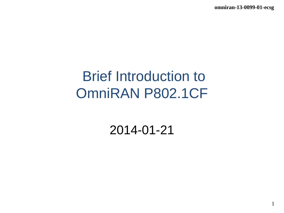**omniran-13-0099-01-ecsg**

1

# Brief Introduction to OmniRAN P802.1CF

2014-01-21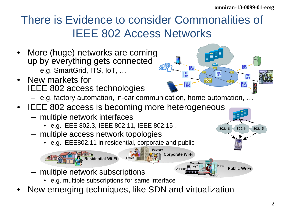I<sup>EEE</sup><br>1802

802.11

802.15

### There is Evidence to consider Commonalities of IEEE 802 Access Networks

- More (huge) networks are coming up by everything gets connected – e.g. SmartGrid, ITS, IoT, …
- New markets for IEEE 802 access technologies
	- e.g. factory automation, in-car communication, home automation, …

|馬

**JEEE**<br>802

802.16

**IEEE**<br>802

**IEEE** 

- IEEE 802 access is becoming more heterogeneous
	- multiple network interfaces
		- e.g. IEEE 802.3, IEEE 802.11, IEEE 802.15…
	- multiple access network topologies
		- e.g. IEEE802.11 in residential, corporate and public



- multiple network subscriptions
	- e.g. multiple subscriptions for same interface
- New emerging techniques, like SDN and virtualization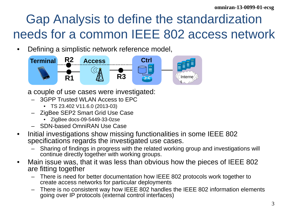## Gap Analysis to define the standardization needs for a common IEEE 802 access network

• Defining a simplistic network reference model,



- a couple of use cases were investigated:
	- 3GPP Trusted WLAN Access to EPC
		- TS 23.402 V11.6.0 (2013-03)
	- ZigBee SEP2 Smart Grid Use Case
		- ZigBee docs-09-5449-33-0zse
	- SDN-based OmniRAN Use Case
- Initial investigations show missing functionalities in some IEEE 802 specifications regards the investigated use cases.
	- Sharing of findings in progress with the related working group and investigations will continue directly together with working groups.
- Main issue was, that it was less than obvious how the pieces of IEEE 802 are fitting together
	- There is need for better documentation how IEEE 802 protocols work together to create access networks for particular deployments
	- There is no consistent way how IEEE 802 handles the IEEE 802 information elements going over IP protocols (external control interfaces)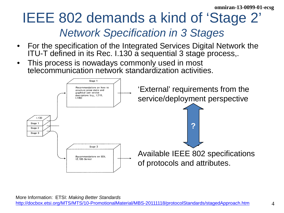## IEEE 802 demands a kind of 'Stage 2' *Network Specification in 3 Stages*

- For the specification of the Integrated Services Digital Network the ITU-T defined in its Rec. I.130 a sequential 3 stage process,.
- This process is nowadays commonly used in most telecommunication network standardization activities.

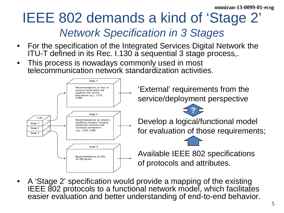## IEEE 802 demands a kind of 'Stage 2' *Network Specification in 3 Stages*

- For the specification of the Integrated Services Digital Network the ITU-T defined in its Rec. I.130 a sequential 3 stage process,.
- This process is nowadays commonly used in most telecommunication network standardization activities.



• A 'Stage 2' specification would provide a mapping of the existing IEEE 802 protocols to a functional network model, which facilitates easier evaluation and better understanding of end-to-end behavior.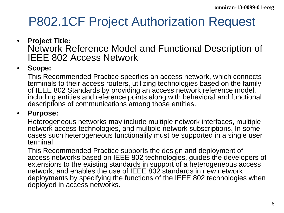### P802.1CF Project Authorization Request

#### • **Project Title:**  Network Reference Model and Functional Description of IEEE 802 Access Network

#### • **Scope:**

This Recommended Practice specifies an access network, which connects terminals to their access routers, utilizing technologies based on the family of IEEE 802 Standards by providing an access network reference model, including entities and reference points along with behavioral and functional descriptions of communications among those entities.

#### • **Purpose:**

Heterogeneous networks may include multiple network interfaces, multiple network access technologies, and multiple network subscriptions. In some cases such heterogeneous functionality must be supported in a single user terminal.

This Recommended Practice supports the design and deployment of access networks based on IEEE 802 technologies, guides the developers of extensions to the existing standards in support of a heterogeneous access network, and enables the use of IEEE 802 standards in new network deployments by specifying the functions of the IEEE 802 technologies when deployed in access networks.